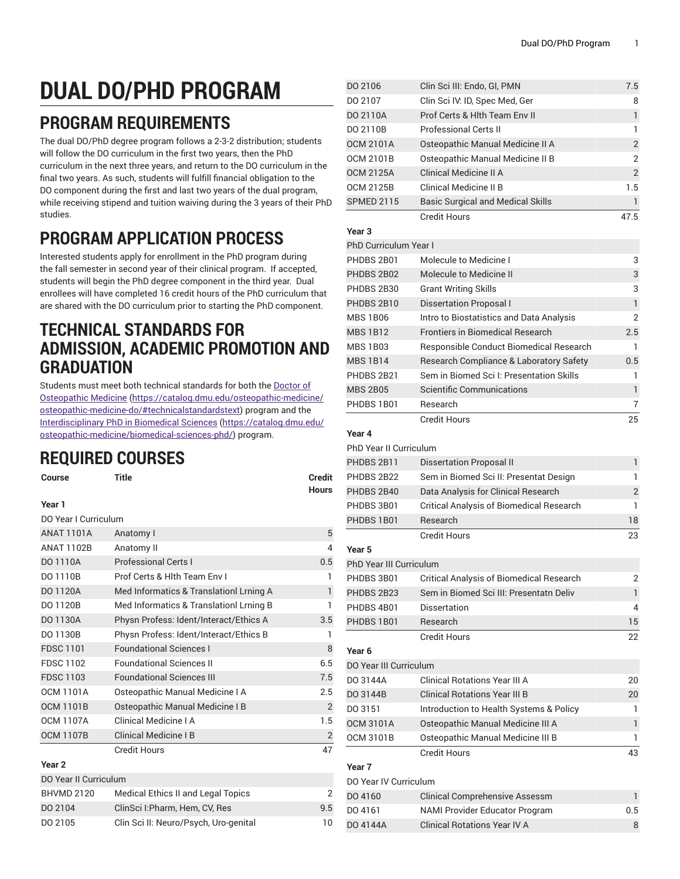# **DUAL DO/PHD PROGRAM**

## **PROGRAM REQUIREMENTS**

The dual DO/PhD degree program follows a 2-3-2 distribution; students will follow the DO curriculum in the first two years, then the PhD curriculum in the next three years, and return to the DO curriculum in the final two years. As such, students will fulfill financial obligation to the DO component during the first and last two years of the dual program, while receiving stipend and tuition waiving during the 3 years of their PhD studies.

# **PROGRAM APPLICATION PROCESS**

Interested students apply for enrollment in the PhD program during the fall semester in second year of their clinical program. If accepted, students will begin the PhD degree component in the third year. Dual enrollees will have completed 16 credit hours of the PhD curriculum that are shared with the DO curriculum prior to starting the PhD component.

### **TECHNICAL STANDARDS FOR ADMISSION, ACADEMIC PROMOTION AND GRADUATION**

Students must meet both technical standards for both the [Doctor of](https://catalog.dmu.edu/osteopathic-medicine/osteopathic-medicine-do/#technicalstandardstext) [Osteopathic Medicine](https://catalog.dmu.edu/osteopathic-medicine/osteopathic-medicine-do/#technicalstandardstext) [\(https://catalog.dmu.edu/osteopathic-medicine/](https://catalog.dmu.edu/osteopathic-medicine/osteopathic-medicine-do/#technicalstandardstext) [osteopathic-medicine-do/#technicalstandardstext](https://catalog.dmu.edu/osteopathic-medicine/osteopathic-medicine-do/#technicalstandardstext)) program and the [Interdisciplinary](https://catalog.dmu.edu/osteopathic-medicine/biomedical-sciences-phd/) PhD in Biomedical Sciences [\(https://catalog.dmu.edu/](https://catalog.dmu.edu/osteopathic-medicine/biomedical-sciences-phd/) [osteopathic-medicine/biomedical-sciences-phd/\)](https://catalog.dmu.edu/osteopathic-medicine/biomedical-sciences-phd/) program.

# **REQUIRED COURSES**

| Course | <b>Title</b> | <b>Credit</b> |
|--------|--------------|---------------|
|        |              | <b>Hours</b>  |
| Year 1 |              |               |

| DO Year I Curriculum |                                         |                |
|----------------------|-----------------------------------------|----------------|
| <b>ANAT 1101A</b>    | Anatomy I                               | 5              |
| <b>ANAT 1102B</b>    | Anatomy II                              | 4              |
| DO 1110A             | <b>Professional Certs I</b>             | 0.5            |
| DO 1110B             | Prof Certs & Hith Team Env I            | 1              |
| DO 1120A             | Med Informatics & Translationl Lrning A | 1              |
| DO 1120B             | Med Informatics & Translationl Lrning B | 1              |
| DO 1130A             | Physn Profess: Ident/Interact/Ethics A  | 3.5            |
| DO 1130B             | Physn Profess: Ident/Interact/Ethics B  | 1              |
| <b>FDSC 1101</b>     | <b>Foundational Sciences I</b>          | 8              |
| <b>FDSC 1102</b>     | <b>Foundational Sciences II</b>         | 6.5            |
| <b>FDSC 1103</b>     | <b>Foundational Sciences III</b>        | 7.5            |
| <b>OCM 1101A</b>     | Osteopathic Manual Medicine I A         | 2.5            |
| <b>OCM 1101B</b>     | Osteopathic Manual Medicine I B         | $\overline{2}$ |
| <b>OCM 1107A</b>     | Clinical Medicine I A                   | 1.5            |
| <b>OCM 1107B</b>     | <b>Clinical Medicine I B</b>            | $\overline{2}$ |
|                      | <b>Credit Hours</b>                     | 47             |
| Year 2               |                                         |                |
|                      |                                         |                |

| DO Year II Curriculum |                                       |     |
|-----------------------|---------------------------------------|-----|
| <b>BHVMD 2120</b>     | Medical Ethics II and Legal Topics    | 2   |
| DO 2104               | ClinSci I: Pharm, Hem, CV, Res        | 9.5 |
| DO 2105               | Clin Sci II: Neuro/Psych, Uro-genital | 10  |
|                       |                                       |     |

| DO 2106                       | Clin Sci III: Endo, GI, PMN                                                                | 7.5            |
|-------------------------------|--------------------------------------------------------------------------------------------|----------------|
| DO 2107                       | Clin Sci IV: ID, Spec Med, Ger                                                             | 8              |
| DO 2110A                      | Prof Certs & Hith Team Env II                                                              | 1              |
| DO 2110B                      | <b>Professional Certs II</b>                                                               | 1              |
| <b>OCM 2101A</b>              | Osteopathic Manual Medicine II A                                                           | $\overline{c}$ |
| <b>OCM 2101B</b>              | Osteopathic Manual Medicine II B                                                           | 2              |
| <b>OCM 2125A</b>              | Clinical Medicine II A                                                                     | $\overline{2}$ |
| <b>OCM 2125B</b>              | Clinical Medicine II B                                                                     | 1.5            |
| <b>SPMED 2115</b>             | <b>Basic Surgical and Medical Skills</b>                                                   | 1              |
|                               | <b>Credit Hours</b>                                                                        | 47.5           |
| Year 3                        |                                                                                            |                |
| PhD Curriculum Year I         |                                                                                            |                |
| PHDBS 2B01                    | Molecule to Medicine I                                                                     | 3              |
| PHDBS 2B02                    | <b>Molecule to Medicine II</b>                                                             | 3              |
| PHDBS 2B30                    | <b>Grant Writing Skills</b>                                                                | 3              |
| PHDBS 2B10                    | <b>Dissertation Proposal I</b>                                                             | 1              |
| <b>MBS 1B06</b>               | Intro to Biostatistics and Data Analysis                                                   | $\overline{2}$ |
| <b>MBS 1B12</b>               | <b>Frontiers in Biomedical Research</b>                                                    | 2.5            |
| <b>MBS 1B03</b>               | Responsible Conduct Biomedical Research                                                    | 1              |
| <b>MBS 1B14</b>               | Research Compliance & Laboratory Safety                                                    | 0.5            |
| PHDBS 2B21                    | Sem in Biomed Sci I: Presentation Skills                                                   | 1              |
| <b>MBS 2B05</b>               | <b>Scientific Communications</b>                                                           | $\mathbf{1}$   |
| PHDBS 1B01                    | Research                                                                                   | 7              |
|                               | <b>Credit Hours</b>                                                                        | 25             |
| Year 4                        |                                                                                            |                |
| <b>PhD Year II Curriculum</b> |                                                                                            |                |
| PHDBS 2B11                    | <b>Dissertation Proposal II</b>                                                            | 1              |
| PHDBS 2B22                    | Sem in Biomed Sci II: Presentat Design                                                     | 1              |
| PHDBS 2B40                    | Data Analysis for Clinical Research                                                        | $\sqrt{2}$     |
| PHDBS 3B01                    | Critical Analysis of Biomedical Research                                                   | 1              |
| PHDBS 1B01                    | Research                                                                                   | 18             |
|                               | <b>Credit Hours</b>                                                                        | 23             |
| Year 5                        |                                                                                            |                |
| PhD Year III Curriculum       |                                                                                            | $\overline{2}$ |
| PHDBS 3B01                    | <b>Critical Analysis of Biomedical Research</b><br>Sem in Biomed Sci III: Presentatn Deliv |                |
| PHDBS 2B23<br>PHDBS 4B01      | <b>Dissertation</b>                                                                        | 1<br>4         |
| PHDBS 1B01                    | Research                                                                                   | 15             |
|                               | <b>Credit Hours</b>                                                                        | 22             |
| Year 6                        |                                                                                            |                |
| DO Year III Curriculum        |                                                                                            |                |
| DO 3144A                      | <b>Clinical Rotations Year III A</b>                                                       | 20             |
| DO 3144B                      | <b>Clinical Rotations Year III B</b>                                                       | 20             |
| DO 3151                       | Introduction to Health Systems & Policy                                                    | 1              |
| <b>OCM 3101A</b>              | Osteopathic Manual Medicine III A                                                          | 1              |
| <b>OCM 3101B</b>              | Osteopathic Manual Medicine III B                                                          | 1              |
|                               | <b>Credit Hours</b>                                                                        | 43             |
| Year 7                        |                                                                                            |                |
| DO Year IV Curriculum         |                                                                                            |                |
| DO 4160                       | <b>Clinical Comprehensive Assessm</b>                                                      | 1              |
| DO 4161                       | NAMI Provider Educator Program                                                             | 0.5            |
| DO 4144A                      | <b>Clinical Rotations Year IV A</b>                                                        | 8              |
|                               |                                                                                            |                |